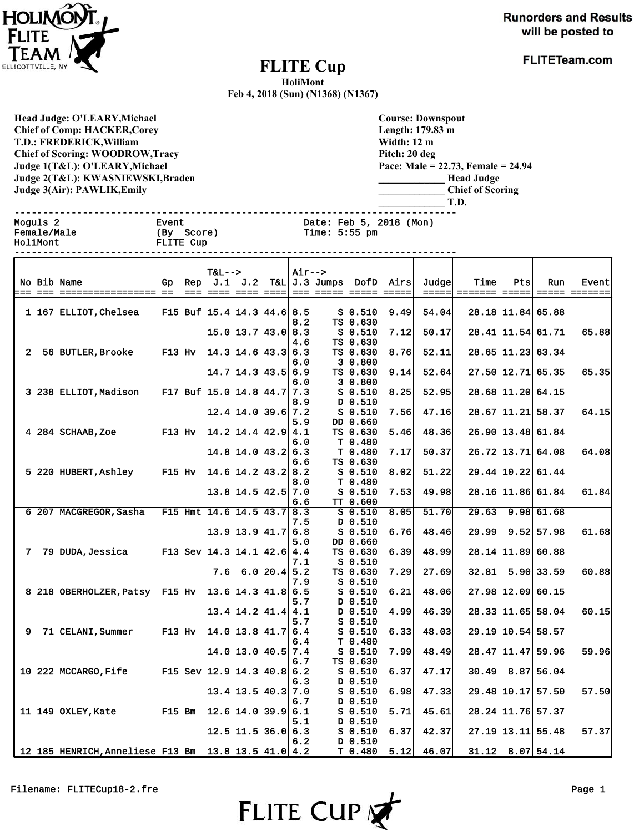

**Runorders and Results** will be posted to

## **FLITE Cup**

**FLITETeam.com** 

**HoliMont**

**Feb 4, 2018 (Sun) (N1368) (N1367)**

**Head Judge: O'LEARY,Michael Chief of Comp: HACKER,Corey T.D.: FREDERICK,William Chief of Scoring: WOODROW,Tracy Judge 1(T&L): O'LEARY,Michael Judge 2(T&L): KWASNIEWSKI,Braden Judge 3(Air): PAWLIK,Emily** 

**Course: Downspout Length: 179.83 m Width: 12 m Pitch: 20 deg Pace: Male = 22.73, Female = 24.94 \_\_\_\_\_\_\_\_\_\_\_\_\_ Head Judge \_\_\_\_\_\_\_\_\_\_\_\_\_ Chief of Scoring \_\_\_\_\_\_\_\_\_\_\_\_\_ T.D.**

| Moguls 2<br>Female/Male<br>HoliMont<br>------- |  |                                                     | Event<br>(By Score)<br>FLITE Cup |                                  |                            |         | Date: Feb 5, 2018 (Mon)<br>Time: $5:55$ pm |                                          |      |        |      |     |                      |                        |
|------------------------------------------------|--|-----------------------------------------------------|----------------------------------|----------------------------------|----------------------------|---------|--------------------------------------------|------------------------------------------|------|--------|------|-----|----------------------|------------------------|
|                                                |  | No Bib Name                                         |                                  | <b>T&amp;L--&gt;</b>             |                            | $Air--$ |                                            | Gp Rep $J.1$ J.2 T&L J.3 Jumps DofD Airs |      | Judgel | Time | Pts | Run                  | Event<br>===== ======= |
|                                                |  | 1 167 ELLIOT, Chelsea F15 Buf 15.4 14.3 44.6 8.5    |                                  |                                  |                            |         |                                            | S 0.510 9.49                             |      | 54.04  |      |     | 28.18 11.84 65.88    |                        |
|                                                |  |                                                     |                                  |                                  |                            | 8.2     |                                            | TS 0.630                                 |      |        |      |     |                      |                        |
|                                                |  |                                                     |                                  |                                  | $15.0$ $13.7$ $43.0$ $8.3$ |         |                                            | S 0.510                                  | 7.12 | 50.17  |      |     | 28.41 11.54 61.71    | 65.88                  |
|                                                |  | 2 56 BUTLER, Brooke F13 Hv 14.3 14.6 43.3 6.3       |                                  |                                  |                            | 4.6     |                                            | TS 0.630<br>TS 0.630                     | 8.76 | 52.11  |      |     | 28.65 11.23 63.34    |                        |
|                                                |  |                                                     |                                  |                                  |                            | 6.0     |                                            | 3 0.800                                  |      |        |      |     |                      |                        |
|                                                |  |                                                     |                                  |                                  | $14.7$ 14.3 43.5 6.9       |         |                                            | TS 0.630                                 | 9.14 | 52.64  |      |     | $27.50$ 12.71 65.35  | 65.35                  |
|                                                |  |                                                     |                                  |                                  |                            | 6.0     |                                            | 3 0.800                                  |      |        |      |     |                      |                        |
|                                                |  | 3 238 ELLIOT, Madison F17 Buf 15.0 14.8 44.7 7.3    |                                  |                                  |                            |         |                                            | $S$ 0.510                                | 8.25 | 52.95  |      |     | 28.68 11.20 64.15    |                        |
|                                                |  |                                                     |                                  |                                  | $12.4$ 14.0 39.6 7.2       | 8.9     |                                            | D 0.510<br>S 0.510                       | 7.56 | 47.16  |      |     | 28.67 11.21 58.37    | 64.15                  |
|                                                |  |                                                     |                                  |                                  |                            | 5.9     |                                            | DD 0.660                                 |      |        |      |     |                      |                        |
|                                                |  | 4 284 SCHAAB, Zoe F13 Hv 14.2 14.4 42.9 4.1         |                                  |                                  |                            |         |                                            | TS 0.630                                 | 5.46 | 48.36  |      |     | 26.90 13.48 61.84    |                        |
|                                                |  |                                                     |                                  |                                  |                            | 6.0     |                                            | T 0.480                                  |      |        |      |     |                      |                        |
|                                                |  |                                                     |                                  |                                  | $14.8$ 14.0 43.2 6.3       |         |                                            | T 0.480                                  | 7.17 | 50.37  |      |     | 26.72 13.71 64.08    | 64.08                  |
|                                                |  | 5 220 HUBERT, Ashley F15 Hv $ 14.6 14.2 43.2   8.2$ |                                  |                                  |                            | 6.6     |                                            | TS 0.630<br>$S$ 0.510                    | 8.02 | 51.22  |      |     | 29.44 10.22 61.44    |                        |
|                                                |  |                                                     |                                  |                                  |                            | 8.0     |                                            | T 0.480                                  |      |        |      |     |                      |                        |
|                                                |  |                                                     |                                  |                                  | $13.8$ 14.5 42.5 7.0       |         |                                            | S 0.510                                  | 7.53 | 49.98  |      |     | 28.16 11.86 61.84    | 61.84                  |
|                                                |  |                                                     |                                  |                                  |                            | 6.6     |                                            | TT 0.600                                 |      |        |      |     |                      |                        |
|                                                |  | 6 207 MACGREGOR, Sasha F15 Hmt $14.6$ 14.5 43.7 8.3 |                                  |                                  |                            |         |                                            | $S_0.510$                                | 8.05 | 51.70  |      |     | $29.63$ $9.98$ 61.68 |                        |
|                                                |  |                                                     |                                  |                                  |                            | 7.5     |                                            | 0.510 מ                                  |      |        |      |     |                      |                        |
|                                                |  |                                                     |                                  |                                  | $13.9$ 13.9 41.7 6.8       | 5.0     |                                            | $S_0.510$<br>DD 0.660                    | 6.76 | 48.46  |      |     | 29.99 9.52 57.98     | 61.68                  |
|                                                |  | 7 79 DUDA, Jessica F13 Sev 14.3 14.1 42.6 4.4       |                                  |                                  |                            |         |                                            | TS 0.630                                 | 6.39 | 48.99  |      |     | 28.14 11.89 60.88    |                        |
|                                                |  |                                                     |                                  |                                  |                            | 7.1     |                                            | S 0.510                                  |      |        |      |     |                      |                        |
|                                                |  |                                                     |                                  |                                  | $7.6 \t6.0 \t20.4 \t5.2$   |         |                                            | TS 0.630                                 | 7.29 | 27.69  |      |     | $32.81$ 5.90 33.59   | 60.88                  |
|                                                |  |                                                     |                                  |                                  |                            | 7.9     |                                            | $S_0.510$                                |      |        |      |     |                      |                        |
|                                                |  | 8 218 OBERHOLZER, Patsy F15 Hv 13.6 14.3 41.8 6.5   |                                  |                                  |                            |         |                                            | $S$ 0.510                                | 6.21 | 48.06  |      |     | $27.98$ 12.09 60.15  |                        |
|                                                |  |                                                     |                                  |                                  | $13.4$ 14.2 $41.4$ 4.1     | 5.7     |                                            | D 0.510<br>D 0.510                       | 4.99 | 46.39  |      |     | 28.33 11.65 58.04    | 60.15                  |
|                                                |  |                                                     |                                  |                                  |                            | 5.7     |                                            | $S$ 0.510                                |      |        |      |     |                      |                        |
| 9 <sup>1</sup>                                 |  | 71 CELANI, Summer F13 Hv $ 14.0 13.8 41.7  6.4$     |                                  |                                  |                            |         |                                            | $S$ 0.510                                | 6.33 | 48.03  |      |     | 29.19 10.54 58.57    |                        |
|                                                |  |                                                     |                                  |                                  |                            | 6.4     |                                            | T 0.480                                  |      |        |      |     |                      |                        |
|                                                |  |                                                     |                                  |                                  | $14.0$ 13.0 $40.5$ 7.4     |         |                                            | $S_0.510$                                | 7.99 | 48.49  |      |     | 28.47 11.47 59.96    | 59.96                  |
|                                                |  | 10 222 MCCARGO, Fife F15 Sev 12.9 14.3 40.8 6.2     |                                  |                                  |                            | 6.7     |                                            | TS 0.630<br>$S_0.510$                    | 6.37 | 47.17  |      |     | $30.49$ 8.87 56.04   |                        |
|                                                |  |                                                     |                                  |                                  |                            | 6.3     |                                            | D 0.510                                  |      |        |      |     |                      |                        |
|                                                |  |                                                     |                                  |                                  | $13.4$ 13.5 40.3 7.0       |         |                                            | $S$ 0.510                                | 6.98 | 47.33  |      |     | 29.48 10.17 57.50    | 57.50                  |
|                                                |  |                                                     |                                  |                                  |                            | 6.7     |                                            | D 0.510                                  |      |        |      |     |                      |                        |
|                                                |  | 11 149 OXLEY, Kate F15 Bm                           |                                  | $\boxed{12.6 \ 14.0 \ 39.9}$ 6.1 |                            |         |                                            | $S$ 0.510                                | 5.71 | 45.61  |      |     | 28.24 11.76 57.37    |                        |
|                                                |  |                                                     |                                  |                                  | $12.5$ 11.5 36.0 6.3       | 5.1     |                                            | $D$ 0.510<br>$S$ 0.510                   | 6.37 | 42.37  |      |     | $27.19$ 13.11 55.48  | 57.37                  |
|                                                |  |                                                     |                                  |                                  |                            | 6.2     |                                            | $D$ 0.510                                |      |        |      |     |                      |                        |
|                                                |  |                                                     |                                  |                                  |                            |         |                                            |                                          |      |        |      |     |                      |                        |



12 185 HENRICH,Anneliese F13 Bm 13.8 13.5 41.0 4.2 T 0.480 5.12 46.07 31.12 8.07 54.14

 $6.2$  D 0.510<br>4.2 T 0.480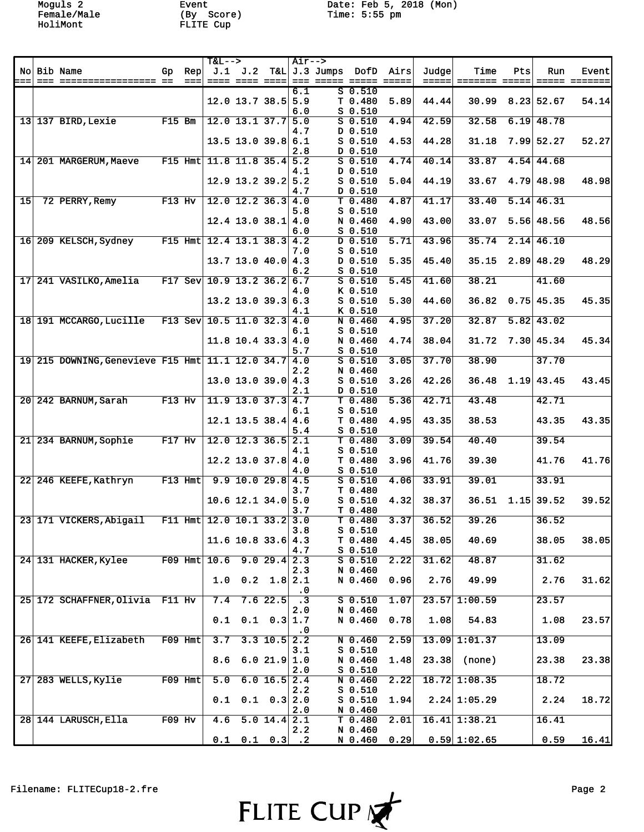Moguls 2 Event Date: Feb 5, 2018 (Mon)

|    |                                                      |           |                               | <b>T&amp;L--&gt;</b>         |                              |                          | Air-->    |                 |                                 |                     |       |                   |     |                   |               |
|----|------------------------------------------------------|-----------|-------------------------------|------------------------------|------------------------------|--------------------------|-----------|-----------------|---------------------------------|---------------------|-------|-------------------|-----|-------------------|---------------|
|    | No Bib Name                                          | Gp.       | Rep                           |                              | $J.1$ $J.2$                  |                          |           | T&L J.3 Jumps   | DofD                            | Airs                | Judge | Time              | Pts | Run               | <b>Event</b>  |
|    |                                                      |           | $=$ $=$ $=$ $=$ $\frac{1}{2}$ |                              | ==== ==== ====               |                          | 6.1       | === ===== ===== | $S$ $0.510$                     | $=$ $=$ $=$ $=$ $=$ |       |                   |     |                   | ===== ======= |
|    |                                                      |           |                               |                              | $12.0$ 13.7 38.5 5.9         |                          |           |                 | T 0.480                         | 5.89                | 44.44 | 30.99             |     | 8.23 52.67        | 54.14         |
|    |                                                      |           |                               |                              |                              |                          | 6.0       |                 | $S$ 0.510                       |                     |       |                   |     |                   |               |
|    | $13$ 137 BIRD, Lexie                                 | $F15$ Bm  |                               |                              | $12.0$ 13.1 37.7 5.0         |                          |           |                 | $S$ 0.510                       | 4.94                | 42.59 | 32.58             |     | $6.19$ 48.78      |               |
|    |                                                      |           |                               |                              |                              |                          | 4.7       |                 | D 0.510                         |                     |       |                   |     |                   |               |
|    |                                                      |           |                               |                              | $13.5$ 13.0 39.8 6.1         |                          |           |                 | $S$ 0.510                       | 4.53                | 44.28 | 31.18             |     | $7.99$ 52.27      | 52.27         |
|    | 14 201 MARGERUM, Maeve                               |           |                               | F15 Hmt 11.8 11.8 35.4 5.2   |                              |                          | 2.8       |                 | D 0.510<br>$S$ 0.510            | 4.74                | 40.14 | 33.87             |     | 4.54 44.68        |               |
|    |                                                      |           |                               |                              |                              |                          | 4.1       |                 | D 0.510                         |                     |       |                   |     |                   |               |
|    |                                                      |           |                               |                              | 12.9 13.2 39.2 5.2           |                          |           |                 | $S$ 0.510                       | 5.04                | 44.19 | 33.67             |     | $4.79$ 48.98      | 48.98         |
|    |                                                      |           |                               |                              |                              |                          | 4.7       |                 | D 0.510                         |                     |       |                   |     |                   |               |
| 15 | 72 PERRY, Remy                                       | $F13$ Hv  |                               |                              | $12.0$ 12.2 36.3 4.0         |                          |           |                 | T 0.480                         | 4.87                | 41.17 | 33.40             |     | $5.14 \mid 46.31$ |               |
|    |                                                      |           |                               |                              |                              |                          | 5.8       |                 | $S$ 0.510                       |                     |       |                   |     |                   |               |
|    |                                                      |           |                               |                              | $12.4$ 13.0 38.1 4.0         |                          |           |                 | N 0.460                         | 4.90                | 43.00 | 33.07             |     | $5.56$ 48.56      | 48.56         |
|    | 16 209 KELSCH, Sydney                                |           |                               | F15 Hmt $12.4$ 13.1 38.3 4.2 |                              |                          | 6.0       |                 | $S$ $0.510$<br>$D$ 0.510        | 5.71                | 43.96 | 35.74             |     | $2.14$ 46.10      |               |
|    |                                                      |           |                               |                              |                              |                          | 7.0       |                 | $S$ 0.510                       |                     |       |                   |     |                   |               |
|    |                                                      |           |                               |                              | $13.7$ 13.0 40.0 4.3         |                          |           |                 | D 0.510                         | 5.35                | 45.40 | 35.15             |     | $2.89$ 48.29      | 48.29         |
|    |                                                      |           |                               |                              |                              |                          | 6.2       |                 | $S$ 0.510                       |                     |       |                   |     |                   |               |
|    | 17 241 VASILKO, Amelia                               |           |                               | F17 Sev $10.9$ 13.2 36.2 6.7 |                              |                          |           |                 | $S$ 0.510                       | 5.45                | 41.60 | 38.21             |     | 41.60             |               |
|    |                                                      |           |                               |                              |                              |                          | 4.0       |                 | K 0.510                         |                     |       |                   |     |                   |               |
|    |                                                      |           |                               |                              | $13.2$ 13.0 39.3 6.3         |                          | 4.1       |                 | $S$ 0.510<br>K 0.510            | 5.30                | 44.60 | 36.82             |     | $0.75$ 45.35      | 45.35         |
|    | 18 191 MCCARGO, Lucille                              |           |                               | F13 Sev 10.5 11.0 32.3 4.0   |                              |                          |           |                 | N 0.460                         | 4.95                | 37.20 | 32.87             |     | $5.82 \mid 43.02$ |               |
|    |                                                      |           |                               |                              |                              |                          | 6.1       |                 | $S$ 0.510                       |                     |       |                   |     |                   |               |
|    |                                                      |           |                               |                              | $11.8$ 10.4 33.3 4.0         |                          |           |                 | N 0.460                         | 4.74                | 38.04 | 31.72             |     | 7.30   45.34      | 45.34         |
|    |                                                      |           |                               |                              |                              |                          | 5.7       |                 | $S$ 0.510                       |                     |       |                   |     |                   |               |
|    | 19 215 DOWNING, Genevieve F15 Hmt 11.1 12.0 34.7 4.0 |           |                               |                              |                              |                          |           |                 | $S$ 0.510                       | 3.05                | 37.70 | 38.90             |     | 37.70             |               |
|    |                                                      |           |                               |                              | $13.0$ 13.0 39.0 4.3         |                          | 2.2       |                 | N 0.460<br>$S$ 0.510            | 3.26                | 42.26 | 36.48             |     | $1.19 \mid 43.45$ | 43.45         |
|    |                                                      |           |                               |                              |                              |                          | 2.1       |                 | D 0.510                         |                     |       |                   |     |                   |               |
|    | 20 242 BARNUM, Sarah                                 | $F13$ Hv  |                               |                              | $11.9$ 13.0 37.3 4.7         |                          |           |                 | T 0.480                         | 5.36                | 42.71 | 43.48             |     | 42.71             |               |
|    |                                                      |           |                               |                              |                              |                          | 6.1       |                 | $S$ 0.510                       |                     |       |                   |     |                   |               |
|    |                                                      |           |                               |                              | $12.1$ 13.5 38.4 4.6         |                          |           |                 | T 0.480                         | 4.95                | 43.35 | 38.53             |     | 43.35             | 43.35         |
|    | 21 234 BARNUM, Sophie                                | $F17$ Hv  |                               |                              | $12.0$ 12.3 36.5 2.1         |                          | 5.4       |                 | $S$ 0.510<br>T <sub>0.480</sub> | 3.09                | 39.54 | 40.40             |     | 39.54             |               |
|    |                                                      |           |                               |                              |                              |                          | 4.1       |                 | $S$ 0.510                       |                     |       |                   |     |                   |               |
|    |                                                      |           |                               |                              | $12.2$ 13.0 37.8 4.0         |                          |           |                 | T 0.480                         | 3.96                | 41.76 | 39.30             |     | 41.76             | 41.76         |
|    |                                                      |           |                               |                              |                              |                          | 4.0       |                 | S 0.510                         |                     |       |                   |     |                   |               |
|    | 22 246 KEEFE, Kathryn                                | $F13$ Hmt |                               |                              | $9.9$ 10.0 29.8 4.5          |                          |           |                 | $S$ 0.510                       | 4.06                | 33.91 | 39.01             |     | 33.91             |               |
|    |                                                      |           |                               |                              |                              |                          | 3.7       |                 | T 0.480                         |                     |       |                   |     |                   |               |
|    |                                                      |           |                               |                              | $10.6$ 12.1 34.0 5.0         |                          | 3.7       |                 | $S$ 0.510<br>T 0.480            | 4.32                | 38.37 | 36.51             |     | $1.15$ 39.52      | 39.52         |
|    | 23 171 VICKERS, Abigail                              |           |                               | F11 Hmt $12.0$ 10.1 33.2 3.0 |                              |                          |           |                 | $T$ 0.480                       | 3.37                | 36.52 | 39.26             |     | 36.52             |               |
|    |                                                      |           |                               |                              |                              |                          | 3.8       |                 | $S$ 0.510                       |                     |       |                   |     |                   |               |
|    |                                                      |           |                               |                              | $11.6$ 10.8 33.6 4.3         |                          |           |                 | T 0.480                         | 4.45                | 38.05 | 40.69             |     | 38.05             | 38.05         |
|    |                                                      |           |                               |                              |                              |                          | 4.7       |                 | $S$ 0.510                       |                     |       |                   |     |                   |               |
|    | 24 131 HACKER, Kylee                                 |           |                               | F09 Hmt $10.6$ 9.0 29.4 2.3  |                              |                          | 2.3       |                 | $S$ 0.510                       | 2.22                | 31.62 | 48.87             |     | 31.62             |               |
|    |                                                      |           |                               | 1.0                          |                              | $0.2 \quad 1.8 \, 2.1$   |           |                 | N 0.460<br>N 0.460              | 0.96                | 2.76  | 49.99             |     | 2.76              | 31.62         |
|    |                                                      |           |                               |                              |                              |                          | . 0       |                 |                                 |                     |       |                   |     |                   |               |
|    | 25 172 SCHAFFNER, Olivia F11 Hv                      |           |                               | 7.4                          |                              | $7.6$ 22.5               | $\cdot$ 3 |                 | $S$ 0.510                       | 1.07                |       | $23.57$ 1:00.59   |     | 23.57             |               |
|    |                                                      |           |                               |                              |                              |                          | 2.0       |                 | N 0.460                         |                     |       |                   |     |                   |               |
|    |                                                      |           |                               | 0.1                          |                              | $0.1 \quad 0.3 \mid 1.7$ |           |                 | N 0.460                         | 0.78                | 1.08  | 54.83             |     | 1.08              | 23.57         |
|    | 26 141 KEEFE, Elizabeth                              |           | $F09$ Hmt                     | 3.7                          |                              | $3.3$ 10.5 2.2           | . 0       |                 | $N$ 0.460                       | 2.59                |       | $13.09$ $1:01.37$ |     | 13.09             |               |
|    |                                                      |           |                               |                              |                              |                          | 3.1       |                 | $S$ 0.510                       |                     |       |                   |     |                   |               |
|    |                                                      |           |                               | 8.6                          |                              | 6.021.91.0               |           |                 | N 0.460                         | 1.48                | 23.38 | (none)            |     | 23.38             | 23.38         |
|    |                                                      |           |                               |                              |                              |                          | 2.0       |                 | $S$ 0.510                       |                     |       |                   |     |                   |               |
|    | 27 283 WELLS, Kylie                                  |           | F09 Hmt                       | 5.0                          |                              | 6.0 16.5 2.4             |           |                 | N 0.460                         | 2.22                |       | $18.72$ 1:08.35   |     | 18.72             |               |
|    |                                                      |           |                               | 0.1                          |                              | $0.1 \quad 0.3   2.0$    | 2.2       |                 | $S$ 0.510<br>$S_0.510$          | 1.94                |       | $2.24$ 1:05.29    |     | 2.24              | 18.72         |
|    |                                                      |           |                               |                              |                              |                          | 2.0       |                 | N 0.460                         |                     |       |                   |     |                   |               |
|    | 28 144 LARUSCH, Ella                                 | $F09$ Hv  |                               | 4.6                          |                              | $5.0$ 14.4 2.1           |           |                 | T 0.480                         | 2.01                |       | $16.41$ 1:38.21   |     | 16.41             |               |
|    |                                                      |           |                               |                              |                              |                          | 2.2       |                 | N 0.460                         |                     |       |                   |     |                   |               |
|    |                                                      |           |                               |                              | $0.1 \quad 0.1 \quad 0.3$ .2 |                          |           |                 | N 0.460                         | 0.29                |       | $0.59$ 1:02.65    |     | 0.59              | 16.41         |

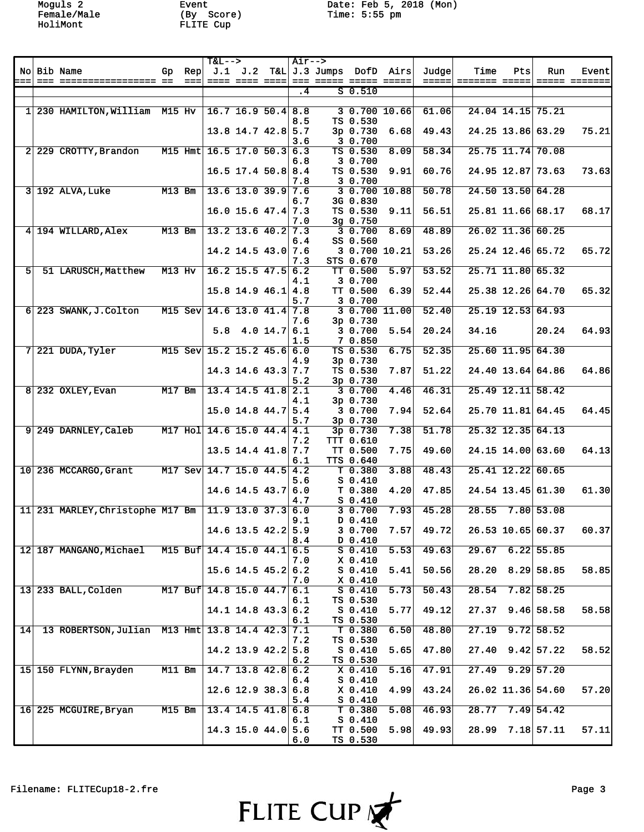Moguls 2 Event Date: Feb 5, 2018 (Mon)

|                |                                             |          |      | <b>T&amp;L--&gt;</b>           |                        | Air-->          |                        |                         |        |               |     |                     |               |
|----------------|---------------------------------------------|----------|------|--------------------------------|------------------------|-----------------|------------------------|-------------------------|--------|---------------|-----|---------------------|---------------|
|                | No Bib Name                                 | Gp.      | Rep  |                                | J.1 J.2                |                 |                        | T&L J.3 Jumps DofD Airs | Judge  | Time          | Pts | Run                 | Event         |
|                |                                             |          | $==$ |                                | ==== ==== ====         |                 |                        |                         | =====1 | ======= ===== |     |                     | ===== ======= |
|                |                                             |          |      |                                |                        | $\overline{.4}$ | $S$ $0.510$            |                         |        |               |     |                     |               |
|                |                                             |          |      |                                |                        |                 |                        |                         |        |               |     |                     |               |
|                | 1 230 HAMILTON, William M15 Hv              |          |      | $ 16.7 \t16.9 \t50.4 8.8$      |                        |                 |                        | 30.70010.66             | 61.06  |               |     | 24.04 14.15 75.21   |               |
|                |                                             |          |      |                                |                        | 8.5             | TS 0.530               |                         |        |               |     |                     |               |
|                |                                             |          |      |                                | $13.8$ 14.7 42.8 5.7   |                 | 3p 0.730               | 6.68                    | 49.43  |               |     | 24.25 13.86 63.29   | 75.21         |
|                |                                             |          |      |                                |                        | 3.6             | 3 0.700                |                         |        |               |     |                     |               |
|                | 2 229 CROTTY, Brandon                       |          |      | M15 Hmt 16.5 17.0 50.3 6.3     |                        |                 | TS 0.530               | 8.09                    | 58.34  |               |     | 25.75 11.74 70.08   |               |
|                |                                             |          |      |                                |                        | 6.8             | 3 0.700                |                         |        |               |     |                     |               |
|                |                                             |          |      |                                | $16.5$ 17.4 50.8 8.4   |                 | TS 0.530               | 9.91                    | 60.76  |               |     | 24.95 12.87 73.63   | 73.63         |
|                |                                             |          |      |                                |                        | 7.8             | 3 0.700                |                         |        |               |     |                     |               |
|                | $3 192$ ALVA, Luke                          | $M13$ Bm |      |                                | $13.6$ 13.0 39.9 7.6   |                 | 3 0.700 10.88          |                         | 50.78  |               |     | $24.50$ 13.50 64.28 |               |
|                |                                             |          |      |                                |                        | 6.7             | 3G 0.830               |                         |        |               |     |                     |               |
|                |                                             |          |      |                                | $16.0$ 15.6 47.4 7.3   |                 | TS 0.530               | 9.11                    | 56.51  |               |     | 25.81 11.66 68.17   | 68.17         |
|                |                                             |          |      |                                |                        | 7.0             | 3g 0.750               |                         |        |               |     |                     |               |
|                | 4 194 WILLARD, Alex                         | $M13$ Bm |      |                                | $13.2$ 13.6 40.2 7.3   |                 | 30.700                 | 8.69                    | 48.89  |               |     | $26.02$ 11.36 60.25 |               |
|                |                                             |          |      |                                |                        | 6.4             | SS 0.560               |                         |        |               |     |                     |               |
|                |                                             |          |      |                                | $14.2$ 14.5 43.0 7.6   |                 |                        | 3 0.700 10.21           | 53.26  |               |     | 25.24 12.46 65.72   | 65.72         |
|                |                                             |          |      |                                |                        | 7.3             | STS 0.670              |                         |        |               |     |                     |               |
| 5 <sup>1</sup> | 51 LARUSCH, Matthew                         | $M13$ Hv |      |                                | $16.2$ 15.5 47.5 6.2   |                 | TT 0.500               | 5.97                    | 53.52  |               |     | 25.71 11.80 65.32   |               |
|                |                                             |          |      |                                |                        | 4.1             | 3 0.700                |                         |        |               |     |                     |               |
|                |                                             |          |      |                                | $15.8$ 14.9 46.1 4.8   |                 | TT 0.500               | 6.39                    | 52.44  |               |     | 25.38 12.26 64.70   | 65.32         |
|                |                                             |          |      |                                |                        | 5.7             | 3 0.700                |                         |        |               |     |                     |               |
|                | 6 223 SWANK, J. Colton                      |          |      | M15 Sev 14.6 13.0 41.4 7.8     |                        |                 |                        | 3 0.700 11.00           | 52.40  |               |     | 25.19 12.53 64.93   |               |
|                |                                             |          |      |                                |                        | 7.6             | 3p 0.730               |                         |        |               |     |                     |               |
|                |                                             |          |      |                                | $5.8$ 4.0 14.7 6.1     |                 | 3 0.700                | 5.54                    | 20.24  | 34.16         |     | 20.24               | 64.93         |
|                |                                             |          |      |                                |                        | 1.5             | 7 0.850                |                         |        |               |     |                     |               |
|                | $7 221$ DUDA, Tyler                         |          |      | M15 Sev 15.2 15.2 45.6 6.0     |                        |                 | TS 0.530               | 6.75                    | 52.35  |               |     | $25.60$ 11.95 64.30 |               |
|                |                                             |          |      |                                |                        | 4.9             | 3p 0.730               |                         |        |               |     |                     |               |
|                |                                             |          |      |                                | $14.3$ 14.6 43.3 7.7   |                 | TS 0.530               | 7.87                    | 51.22  |               |     | 24.40 13.64 64.86   | 64.86         |
|                |                                             |          |      |                                |                        | 5.2             | 3p 0.730               |                         |        |               |     |                     |               |
|                | $8 232$ OXLEY, Evan                         | $M17$ Bm |      |                                | $13.4$ 14.5 41.8 2.1   |                 | 30.700                 | 4.46                    | 46.31  |               |     | $25.49$ 12.11 58.42 |               |
|                |                                             |          |      |                                |                        | 4.1             | 3p 0.730               |                         |        |               |     |                     |               |
|                |                                             |          |      |                                | $15.0$ 14.8 44.7 5.4   |                 | 3 0.700                | 7.94                    | 52.64  |               |     | 25.70 11.81 64.45   | 64.45         |
|                |                                             |          |      |                                |                        | 5.7             | 3p 0.730               |                         |        |               |     |                     |               |
|                | 9 249 DARNLEY, Caleb                        |          |      | M17 Hol 14.6 15.0 44.4 4.1     |                        |                 | $3p$ 0.730             | 7.38                    | 51.78  |               |     | $25.32$ 12.35 64.13 |               |
|                |                                             |          |      |                                |                        | 7.2             | TTT 0.610              |                         |        |               |     |                     |               |
|                |                                             |          |      |                                | $13.5$ 14.4 41.8 7.7   |                 | TT 0.500               | 7.75                    | 49.60  |               |     | 24.15 14.00 63.60   | 64.13         |
|                |                                             |          |      |                                |                        | 6.1             | TTS 0.640              |                         |        |               |     |                     |               |
|                | 10 236 MCCARGO, Grant                       |          |      | M17 Sev 14.7 15.0 44.5 4.2     |                        |                 | $T$ 0.380              | 3.88                    | 48.43  |               |     | 25.41 12.22 60.65   |               |
|                |                                             |          |      |                                |                        | 5.6             | $S$ 0.410              |                         |        |               |     |                     |               |
|                |                                             |          |      |                                | $14.6$ 14.5 43.7 6.0   |                 | T 0.380                | 4.20                    | 47.85  |               |     | 24.54 13.45 61.30   | 61.30         |
|                |                                             |          |      |                                |                        | 4.7             | $S$ 0.410              |                         |        |               |     |                     |               |
|                | 11 231 MARLEY, Christophe M17 Bm            |          |      | $\boxed{11.9\ 13.0\ 37.3}$ 6.0 |                        |                 | 30.700                 | 7.93                    | 45.28  | 28.55         |     | 7.80 53.08          |               |
|                |                                             |          |      |                                |                        | 9.1             | D 0.410                |                         |        |               |     |                     |               |
|                |                                             |          |      |                                |                        | 5.9             |                        | 7.57                    |        |               |     |                     |               |
|                |                                             |          |      |                                | $14.6$ 13.5 42.2       | 8.4             | 3 0.700<br>D 0.410     |                         | 49.72  |               |     | 26.53 10.65 60.37   | 60.371        |
|                | 12 187 MANGANO, Michael                     |          |      | M15 Buf 14.4 15.0 44.1 6.5     |                        |                 | $S$ 0.410              | 5.53                    | 49.63  |               |     | $29.67$ 6.22 55.85  |               |
|                |                                             |          |      |                                |                        |                 |                        |                         |        |               |     |                     |               |
|                |                                             |          |      |                                | $15.6$ 14.5 45.2 6.2   | 7.0             | $X$ 0.410<br>$S_0.410$ | 5.41                    | 50.56  | 28.20         |     | 8.29 58.85          | 58.85         |
|                |                                             |          |      |                                |                        |                 |                        |                         |        |               |     |                     |               |
|                |                                             |          |      | M17 Buf 14.8 15.0 44.7 6.1     |                        | 7.0             | $X$ 0.410<br>$S$ 0.410 |                         | 50.43  | 28.54         |     | $7.82$ 58.25        |               |
|                | $13$ 233 BALL, Colden                       |          |      |                                |                        |                 |                        | 5.73                    |        |               |     |                     |               |
|                |                                             |          |      |                                | $14.1$ 14.8 43.3 6.2   | 6.1             | TS 0.530<br>$S$ 0.410  | 5.77                    | 49.12  | 27.37         |     | $9.46$ 58.58        | 58.58         |
|                |                                             |          |      |                                |                        |                 |                        |                         |        |               |     |                     |               |
| 14             | 13 ROBERTSON, Julian M13 Hmt 13.8 14.4 42.3 |          |      |                                |                        | 6.1             | TS 0.530               |                         | 48.80  | 27.19         |     | $9.72$ 58.52        |               |
|                |                                             |          |      |                                |                        | 7.1             | T 0.380                | 6.50                    |        |               |     |                     |               |
|                |                                             |          |      |                                |                        | 7.2             | TS 0.530<br>$S$ 0.410  | 5.65                    |        | 27.40         |     |                     |               |
|                |                                             |          |      |                                | $14.2$ 13.9 $42.2$ 5.8 |                 |                        |                         | 47.80  |               |     | $9.42$ 57.22        | 58.52         |
|                |                                             |          |      |                                |                        | 6.2             | TS 0.530               |                         |        |               |     | $9.29$ 57.20        |               |
|                | 15 150 FLYNN, Brayden                       | $M11$ Bm |      |                                | $14.7$ 13.8 42.8 6.2   |                 | $X_0.410$              | 5.16                    | 47.91  | 27.49         |     |                     |               |
|                |                                             |          |      |                                |                        | 6.4             | $S$ 0.410              |                         |        |               |     |                     |               |
|                |                                             |          |      |                                | $12.6$ 12.9 38.3 6.8   |                 | $X$ 0.410              | 4.99                    | 43.24  |               |     | 26.02 11.36 54.60   | 57.20         |
|                |                                             |          |      |                                |                        | 5.4             | $S_0.410$              |                         |        |               |     |                     |               |
|                | 16 225 MCGUIRE, Bryan                       | $M15$ Bm |      |                                | $13.4$ 14.5 41.8 6.8   |                 | T 0.380                | 5.08                    | 46.93  |               |     | 28.77 7.49 54.42    |               |
|                |                                             |          |      |                                |                        | 6.1             | $S$ 0.410              |                         |        |               |     |                     |               |
|                |                                             |          |      |                                | $14.3$ 15.0 44.0 5.6   |                 | TT 0.500               | 5.98                    | 49.93  |               |     | 28.99 7.18 57.11    | 57.11         |
|                |                                             |          |      |                                |                        | 6.0             | TS 0.530               |                         |        |               |     |                     |               |

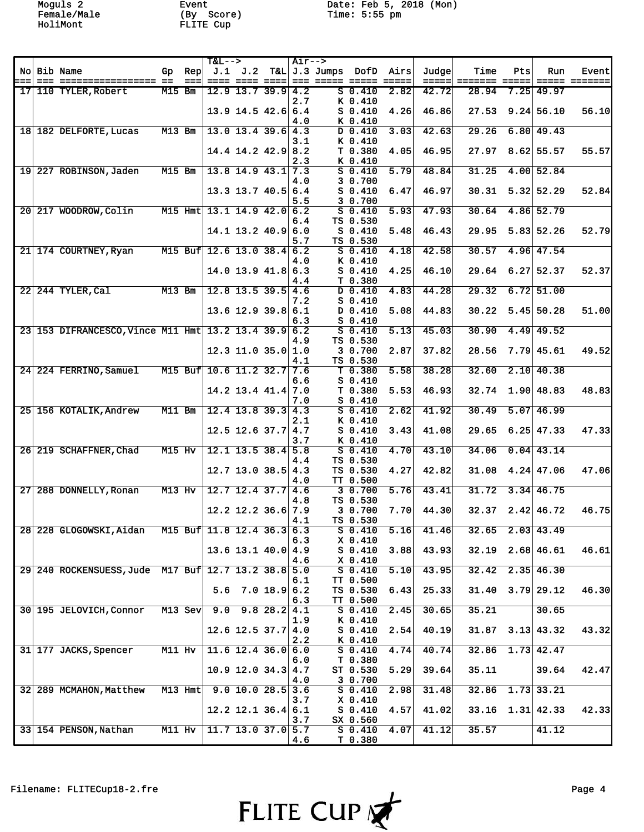Moguls 2 Event Date: Feb 5, 2018 (Mon)

|     |                                                      |          |           | <b>T&amp;L--&gt;</b>          |                          | Air--> |                                 |                      |                 |       |                      |     |                      |               |
|-----|------------------------------------------------------|----------|-----------|-------------------------------|--------------------------|--------|---------------------------------|----------------------|-----------------|-------|----------------------|-----|----------------------|---------------|
|     | No Bib Name                                          | Gp.      | Rep       |                               | J.1 J.2                  |        | T&L J.3 Jumps DofD              |                      | Airs            | Judge | Time                 | Pts | Run                  | Event         |
| === |                                                      |          | $==$      |                               |                          |        | ==== ==== ====  === ===== ===== |                      | $=$ $=$ $=$ $=$ |       | =====  ======= ===== |     |                      | ===== ======= |
|     | 17 110 TYLER, Robert                                 | $M15$ Bm |           |                               | $12.9$ 13.7 39.9 4.2     |        |                                 | $S$ 0.410            | 2.82            | 42.72 | 28.94                |     | $7.25$ 49.97         |               |
|     |                                                      |          |           |                               |                          | 2.7    |                                 | K 0.410              |                 |       |                      |     |                      |               |
|     |                                                      |          |           |                               | $13.9$ 14.5 42.6 6.4     |        |                                 | $S_0.410$            | 4.26            | 46.86 | 27.53                |     | $9.24$ 56.10         | 56.10         |
|     |                                                      |          |           |                               |                          | 4.0    |                                 | K 0.410              |                 |       |                      |     |                      |               |
|     | 18 182 DELFORTE, Lucas                               | $M13$ Bm |           |                               | $13.0$ 13.4 39.6 4.3     |        |                                 | $D$ 0.410<br>K 0.410 | 3.03            | 42.63 | 29.26                |     | 6.80 49.43           |               |
|     |                                                      |          |           |                               | $14.4$ 14.2 42.9 8.2     | 3.1    |                                 | T 0.380              | 4.05            | 46.95 | 27.97                |     | $8.62$ 55.57         | 55.57         |
|     |                                                      |          |           |                               |                          | 2.3    |                                 | K 0.410              |                 |       |                      |     |                      |               |
|     | 19 227 ROBINSON, Jaden                               | $M15$ Bm |           |                               | $13.8$ 14.9 43.1 7.3     |        |                                 | $S$ 0.410            | 5.79            | 48.84 | 31.25                |     | 4.00 52.84           |               |
|     |                                                      |          |           |                               |                          | 4.0    |                                 | 3 0.700              |                 |       |                      |     |                      |               |
|     |                                                      |          |           |                               | $13.3$ $13.7$ $40.5$ 6.4 |        |                                 | $S$ 0.410            | 6.47            | 46.97 | 30.31                |     | 5.32 52.29           | 52.84         |
|     |                                                      |          |           |                               |                          | 5.5    |                                 | 3 0.700              |                 |       |                      |     |                      |               |
|     | 20 217 WOODROW, Colin                                |          |           | M15 Hmt 13.1 14.9 42.0 6.2    |                          |        |                                 | $S$ 0.410            | 5.93            | 47.93 | 30.64                |     | 4.86 52.79           |               |
|     |                                                      |          |           |                               |                          | 6.4    |                                 | TS 0.530             |                 |       |                      |     |                      |               |
|     |                                                      |          |           |                               | 14.1 13.2 40.9 6.0       |        |                                 | $S_0.410$            | 5.48            | 46.43 | 29.95                |     | 5.83 52.26           | 52.79         |
|     |                                                      |          |           |                               |                          | 5.7    |                                 | TS 0.530             |                 |       |                      |     |                      |               |
|     | 21 174 COURTNEY, Ryan                                |          |           | M15 Buf 12.6 13.0 38.4 6.2    |                          |        |                                 | $S$ 0.410            | 4.18            | 42.58 | 30.57                |     | 4.96 47.54           |               |
|     |                                                      |          |           |                               |                          | 4.0    |                                 | K 0.410              |                 |       | 29.64                |     |                      |               |
|     |                                                      |          |           |                               | $14.0$ 13.9 $41.8$ 6.3   | 4.4    |                                 | $S$ 0.410<br>T 0.380 | 4.25            | 46.10 |                      |     | $6.27$ 52.37         | 52.37         |
|     | 22 244 TYLER, Cal                                    | $M13$ Bm |           |                               | $12.8$ 13.5 39.5 4.6     |        |                                 | $D$ 0.410            | 4.83            | 44.28 | 29.32                |     | $6.72$ 51.00         |               |
|     |                                                      |          |           |                               |                          | 7.2    |                                 | $S$ 0.410            |                 |       |                      |     |                      |               |
|     |                                                      |          |           |                               | $13.6$ 12.9 39.8 6.1     |        |                                 | D 0.410              | 5.08            | 44.83 | 30.22                |     | $5.45$ 50.28         | 51.00         |
|     |                                                      |          |           |                               |                          | 6.3    |                                 | $S$ 0.410            |                 |       |                      |     |                      |               |
|     | 23 153 DIFRANCESCO, Vince M11 Hmt 13.2 13.4 39.9 6.2 |          |           |                               |                          |        |                                 | $S$ 0.410            | 5.13            | 45.03 | 30.90                |     | $4.49$ 49.52         |               |
|     |                                                      |          |           |                               |                          | 4.9    |                                 | TS 0.530             |                 |       |                      |     |                      |               |
|     |                                                      |          |           |                               | $12.3$ 11.0 35.0 1.0     |        |                                 | 3 0.700              | 2.87            | 37.82 | 28.56                |     | 7.79   45.61         | 49.52         |
|     |                                                      |          |           |                               |                          | 4.1    |                                 | TS 0.530             |                 |       |                      |     |                      |               |
|     | 24 224 FERRINO, Samuel                               |          |           | M15 Buf 10.6 11.2 32.7 7.6    |                          |        |                                 | $T$ 0.380            | 5.58            | 38.28 | 32.60                |     | $2.10$ 40.38         |               |
|     |                                                      |          |           |                               |                          | 6.6    |                                 | $S_0.410$            |                 |       |                      |     |                      |               |
|     |                                                      |          |           |                               | $14.2$ 13.4 41.4 7.0     |        |                                 | T 0.380<br>$S$ 0.410 | 5.53            | 46.93 | 32.74                |     | 1.90 48.83           | 48.83         |
|     | 25 156 KOTALIK, Andrew                               | $M11$ Bm |           |                               | $12.4$ 13.8 39.3 4.3     | 7.0    |                                 | $S$ 0.410            | 2.62            | 41.92 | 30.49                |     | $5.07$ 46.99         |               |
|     |                                                      |          |           |                               |                          | 2.1    |                                 | K 0.410              |                 |       |                      |     |                      |               |
|     |                                                      |          |           |                               | $12.5$ 12.6 37.7 4.7     |        |                                 | $S_0.410$            | 3.43            | 41.08 | 29.65                |     | $6.25$ 47.33         | 47.33         |
|     |                                                      |          |           |                               |                          | 3.7    |                                 | K 0.410              |                 |       |                      |     |                      |               |
|     | 26 219 SCHAFFNER, Chad                               | $M15$ Hv |           |                               | $12.1$ 13.5 38.4 5.8     |        |                                 | $S$ 0.410            | 4.70            | 43.10 | 34.06                |     | $0.04$ 43.14         |               |
|     |                                                      |          |           |                               |                          | 4.4    |                                 | TS 0.530             |                 |       |                      |     |                      |               |
|     |                                                      |          |           |                               | $12.7$ 13.0 38.5 4.3     |        |                                 | TS 0.530             | 4.27            | 42.82 | 31.08                |     | $4.24$ 47.06         | 47.06         |
|     |                                                      |          |           |                               |                          | 4.0    |                                 | TT 0.500             |                 |       |                      |     |                      |               |
|     | 27 288 DONNELLY, Ronan                               | $M13$ Hv |           |                               | $12.7$ 12.4 37.7 4.6     |        |                                 | 30.700               | 5.76            | 43.41 | 31.72                |     | $3.34 \mid 46.75$    |               |
|     |                                                      |          |           |                               |                          | 4.8    |                                 | TS 0.530             |                 | 44.30 |                      |     | $2.42 \mid 46.72$    |               |
|     |                                                      |          |           |                               | $12.2$ 12.2 36.6 7.9     | 4.1    |                                 | 3 0.700<br>TS 0.530  | 7.70            |       | 32.37                |     |                      | 46.75         |
|     | 28 228 GLOGOWSKI, Aidan                              |          |           | M15 Buf $ 11.8 12.4 36.3 6.3$ |                          |        |                                 | $S_0.410$            | 5.16            | 41.46 | 32.65                |     | $2.03$ 43.49         |               |
|     |                                                      |          |           |                               |                          | 6.3    |                                 | $X$ 0.410            |                 |       |                      |     |                      |               |
|     |                                                      |          |           |                               | $13.6$ 13.1 40.0 4.9     |        |                                 | $S_0.410$            | 3.88            | 43.93 | 32.19                |     | $2.68$ 46.61         | 46.61         |
|     |                                                      |          |           |                               |                          | 4.6    |                                 | $X$ 0.410            |                 |       |                      |     |                      |               |
|     | 29 240 ROCKENSUESS, Jude M17 Buf 12.7 13.2 38.8 5.0  |          |           |                               |                          |        |                                 | $S$ 0.410            | 5.10            | 43.95 | 32.42                |     | $2.35$ 46.30         |               |
|     |                                                      |          |           |                               |                          | 6.1    |                                 | TT 0.500             |                 |       |                      |     |                      |               |
|     |                                                      |          |           |                               | 5.6 7.0 18.9 6.2         |        |                                 | TS 0.530             | 6.43            | 25.33 |                      |     | $31.40$ $3.79$ 29.12 | 46.30         |
|     |                                                      |          |           |                               |                          | 6.3    |                                 | TT 0.500             |                 |       |                      |     |                      |               |
|     | 30 195 JELOVICH, Connor                              |          | $M13$ Sev |                               | $9.0$ $9.8$ $28.2$ 4.1   |        |                                 | $S$ 0.410            | 2.45            | 30.65 | 35.21                |     | 30.65                |               |
|     |                                                      |          |           |                               | $12.6$ 12.5 37.7 4.0     | 1.9    |                                 | K 0.410<br>$S$ 0.410 | 2.54            | 40.19 | 31.87                |     | $3.13 \mid 43.32$    | 43.32         |
|     |                                                      |          |           |                               |                          | 2.2    |                                 | K 0.410              |                 |       |                      |     |                      |               |
|     | 31 177 JACKS, Spencer                                | $M11$ Hv |           |                               | $11.6$ 12.4 36.0 6.0     |        |                                 | $S$ 0.410            | 4.74            | 40.74 | 32.86                |     | $1.73$ 42.47         |               |
|     |                                                      |          |           |                               |                          | 6.0    |                                 | T 0.380              |                 |       |                      |     |                      |               |
|     |                                                      |          |           |                               | $10.9$ 12.0 34.3 4.7     |        |                                 | ST 0.530             | 5.29            | 39.64 | 35.11                |     | 39.64                | 42.47         |
|     |                                                      |          |           |                               |                          | 4.0    |                                 | 3 0.700              |                 |       |                      |     |                      |               |
|     | 32 289 MCMAHON, Matthew                              |          | $M13$ Hmt |                               | $9.0$ 10.0 28.5 3.6      |        |                                 | $S$ 0.410            | 2.98            | 31.48 | 32.86                |     | $1.73$ 33.21         |               |
|     |                                                      |          |           |                               |                          | 3.7    |                                 | $X_0.410$            |                 |       |                      |     |                      |               |
|     |                                                      |          |           |                               | $12.2$ 12.1 36.4 6.1     |        |                                 | $S_0.410$            | 4.57            | 41.02 |                      |     | $33.16$ 1.31 42.33   | 42.33         |
|     |                                                      |          |           |                               |                          | 3.7    |                                 | SX 0.560             |                 |       |                      |     |                      |               |
|     | 33 154 PENSON, Nathan                                | $M11$ Hv |           |                               | $11.7$ 13.0 37.0 5.7     |        |                                 | $S$ 0.410            | 4.07            | 41.12 | 35.57                |     | 41.12                |               |
|     |                                                      |          |           |                               |                          | 4.6    |                                 | T 0.380              |                 |       |                      |     |                      |               |